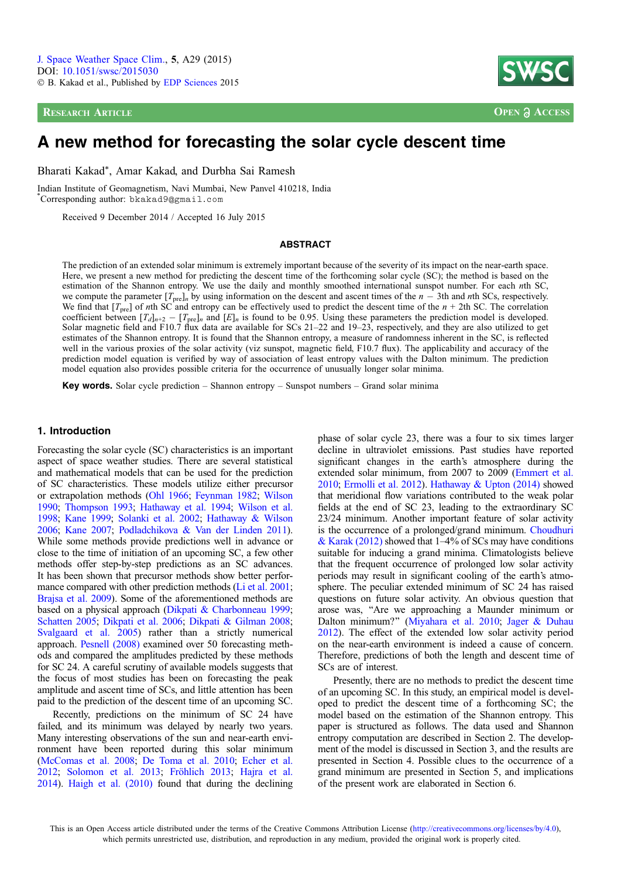**RESEARCH ARTICLE OPEN ACCESS** 



# A new method for forecasting the solar cycle descent time

Bharati Kakad\*, Amar Kakad, and Durbha Sai Ramesh

Indian Institute of Geomagnetism, Navi Mumbai, New Panvel 410218, India \* Corresponding author: bkakad9@gmail.com

Received 9 December 2014 / Accepted 16 July 2015

### **ABSTRACT**

The prediction of an extended solar minimum is extremely important because of the severity of its impact on the near-earth space. Here, we present a new method for predicting the descent time of the forthcoming solar cycle (SC); the method is based on the estimation of the Shannon entropy. We use the daily and monthly smoothed international sunspot number. For each nth SC, we compute the parameter  $[T_{\text{pre}}]_n$  by using information on the descent and ascent times of the  $n-3$ th and nth SCs, respectively. We find that  $[T_{pre}]$  of nth SC and entropy can be effectively used to predict the descent time of the  $n + 2$ th SC. The correlation coefficient between  $[T_d]_{n+2} - [T_{pre}]_n$  and  $[E]_n$  is found to be 0.95. Using these parameters the prediction model is developed. Solar magnetic field and F10.7 flux data are available for SCs 21–22 and 19–23, respectively, and they are also utilized to get estimates of the Shannon entropy. It is found that the Shannon entropy, a measure of randomness inherent in the SC, is reflected well in the various proxies of the solar activity (viz sunspot, magnetic field, F10.7 flux). The applicability and accuracy of the prediction model equation is verified by way of association of least entropy values with the Dalton minimum. The prediction model equation also provides possible criteria for the occurrence of unusually longer solar minima.

**Key words.** Solar cycle prediction – Shannon entropy – Sunspot numbers – Grand solar minima

# 1. Introduction

Forecasting the solar cycle (SC) characteristics is an important aspect of space weather studies. There are several statistical and mathematical models that can be used for the prediction of SC characteristics. These models utilize either precursor or extrapolation methods ([Ohl 1966;](#page-7-0) [Feynman 1982](#page-7-0); [Wilson](#page-8-0) [1990](#page-8-0); [Thompson 1993](#page-7-0); [Hathaway et al. 1994](#page-7-0); [Wilson et al.](#page-8-0) [1998](#page-8-0); [Kane 1999](#page-7-0); [Solanki et al. 2002](#page-7-0); [Hathaway & Wilson](#page-7-0) [2006](#page-7-0); [Kane 2007;](#page-7-0) [Podladchikova & Van der Linden 2011](#page-7-0)). While some methods provide predictions well in advance or close to the time of initiation of an upcoming SC, a few other methods offer step-by-step predictions as an SC advances. It has been shown that precursor methods show better performance compared with other prediction methods ([Li et al. 2001](#page-7-0); [Brajsa et al. 2009\)](#page-6-0). Some of the aforementioned methods are based on a physical approach [\(Dikpati & Charbonneau 1999](#page-7-0); [Schatten 2005](#page-7-0); [Dikpati et al. 2006](#page-7-0); [Dikpati & Gilman 2008](#page-7-0); [Svalgaard et al. 2005](#page-7-0)) rather than a strictly numerical approach. [Pesnell \(2008\)](#page-7-0) examined over 50 forecasting methods and compared the amplitudes predicted by these methods for SC 24. A careful scrutiny of available models suggests that the focus of most studies has been on forecasting the peak amplitude and ascent time of SCs, and little attention has been paid to the prediction of the descent time of an upcoming SC.

Recently, predictions on the minimum of SC 24 have failed, and its minimum was delayed by nearly two years. Many interesting observations of the sun and near-earth environment have been reported during this solar minimum [\(McComas et al. 2008](#page-7-0); [De Toma et al. 2010;](#page-7-0) [Echer et al.](#page-7-0) [2012](#page-7-0); [Solomon et al. 2013;](#page-7-0) [Fröhlich 2013](#page-7-0); [Hajra et al.](#page-7-0) [2014](#page-7-0)). [Haigh et al. \(2010\)](#page-7-0) found that during the declining phase of solar cycle 23, there was a four to six times larger decline in ultraviolet emissions. Past studies have reported significant changes in the earth's atmosphere during the extended solar minimum, from 2007 to 2009 [\(Emmert et al.](#page-7-0) [2010](#page-7-0); [Ermolli et al. 2012](#page-7-0)). [Hathaway & Upton \(2014\)](#page-7-0) showed that meridional flow variations contributed to the weak polar fields at the end of SC 23, leading to the extraordinary SC 23/24 minimum. Another important feature of solar activity is the occurrence of a prolonged/grand minimum. [Choudhuri](#page-6-0) [& Karak \(2012\)](#page-6-0) showed that  $1-4\%$  of SCs may have conditions suitable for inducing a grand minima. Climatologists believe that the frequent occurrence of prolonged low solar activity periods may result in significant cooling of the earth's atmosphere. The peculiar extended minimum of SC 24 has raised questions on future solar activity. An obvious question that arose was, ''Are we approaching a Maunder minimum or Dalton minimum?'' ([Miyahara et al. 2010;](#page-7-0) [Jager & Duhau](#page-7-0) [2012](#page-7-0)). The effect of the extended low solar activity period on the near-earth environment is indeed a cause of concern. Therefore, predictions of both the length and descent time of SCs are of interest.

Presently, there are no methods to predict the descent time of an upcoming SC. In this study, an empirical model is developed to predict the descent time of a forthcoming SC; the model based on the estimation of the Shannon entropy. This paper is structured as follows. The data used and Shannon entropy computation are described in Section 2. The development of the model is discussed in Section 3, and the results are presented in Section 4. Possible clues to the occurrence of a grand minimum are presented in Section 5, and implications of the present work are elaborated in Section 6.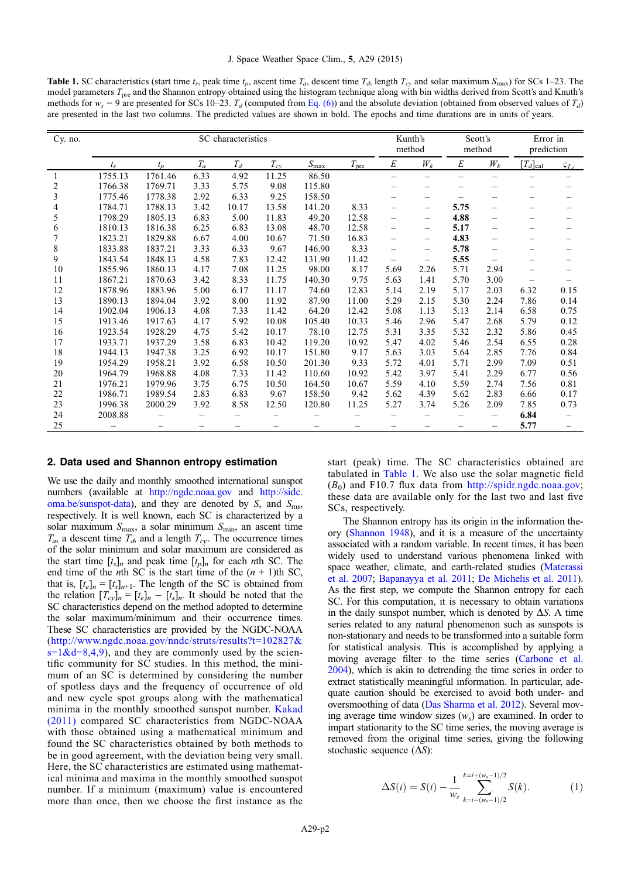<span id="page-1-0"></span>**Table 1.** SC characteristics (start time  $t_s$ , peak time  $t_p$ , ascent time  $T_a$ , descent time  $T_a$ , length  $T_{cy}$  and solar maximum  $S_{\text{max}}$ ) for SCs 1–23. The model parameters T<sub>pre</sub> and the Shannon entropy obtained using the histogram technique along with bin widths derived from Scott's and Knuth's methods for  $w_s = 9$  are presented for SCs 10–23.  $T_d$  (computed from [Eq. \(6\)](#page-5-0)) and the absolute deviation (obtained from observed values of  $T_d$ ) are presented in the last two columns. The predicted values are shown in bold. The epochs and time durations are in units of years.

| Cy. no. | SC characteristics |         |       |       |          |               |               | Kunth's<br>method        |                          | Scott's<br>method        |                          | Error in<br>prediction |                   |
|---------|--------------------|---------|-------|-------|----------|---------------|---------------|--------------------------|--------------------------|--------------------------|--------------------------|------------------------|-------------------|
|         | $t_{s}$            | $t_n$   | $T_a$ | $T_d$ | $T_{cy}$ | $S_{\rm max}$ | $T_{\rm pre}$ | $\cal E$                 | $W_k$                    | E                        | $W_k\,$                  | $[T_d]_{\text{cal}}$   | $\varsigma_{T_A}$ |
|         | 1755.13            | 1761.46 | 6.33  | 4.92  | 11.25    | 86.50         |               | $\qquad \qquad -$        | $\overline{\phantom{0}}$ | $\overline{\phantom{0}}$ | $\overline{\phantom{0}}$ |                        |                   |
| 2       | 1766.38            | 1769.71 | 3.33  | 5.75  | 9.08     | 115.80        |               |                          |                          |                          |                          |                        |                   |
| 3       | 1775.46            | 1778.38 | 2.92  | 6.33  | 9.25     | 158.50        |               |                          |                          |                          |                          |                        |                   |
| 4       | 1784.71            | 1788.13 | 3.42  | 10.17 | 13.58    | 141.20        | 8.33          |                          |                          | 5.75                     | —                        |                        |                   |
| 5       | 1798.29            | 1805.13 | 6.83  | 5.00  | 11.83    | 49.20         | 12.58         | $\overline{\phantom{0}}$ | $\overline{\phantom{0}}$ | 4.88                     | $\overline{\phantom{0}}$ |                        |                   |
| 6       | 1810.13            | 1816.38 | 6.25  | 6.83  | 13.08    | 48.70         | 12.58         | $\overline{\phantom{0}}$ | $\overline{\phantom{0}}$ | 5.17                     | $\overline{\phantom{0}}$ |                        |                   |
| 7       | 1823.21            | 1829.88 | 6.67  | 4.00  | 10.67    | 71.50         | 16.83         |                          | $\overline{\phantom{0}}$ | 4.83                     | $\overline{\phantom{0}}$ |                        |                   |
| 8       | 1833.88            | 1837.21 | 3.33  | 6.33  | 9.67     | 146.90        | 8.33          | $\overline{\phantom{0}}$ |                          | 5.78                     | $\overline{\phantom{0}}$ |                        |                   |
| 9       | 1843.54            | 1848.13 | 4.58  | 7.83  | 12.42    | 131.90        | 11.42         |                          | $\overline{\phantom{0}}$ | 5.55                     | $\overline{\phantom{0}}$ |                        |                   |
| 10      | 1855.96            | 1860.13 | 4.17  | 7.08  | 11.25    | 98.00         | 8.17          | 5.69                     | 2.26                     | 5.71                     | 2.94                     |                        |                   |
| 11      | 1867.21            | 1870.63 | 3.42  | 8.33  | 11.75    | 140.30        | 9.75          | 5.63                     | 1.41                     | 5.70                     | 3.00                     |                        |                   |
| 12      | 1878.96            | 1883.96 | 5.00  | 6.17  | 11.17    | 74.60         | 12.83         | 5.14                     | 2.19                     | 5.17                     | 2.03                     | 6.32                   | 0.15              |
| 13      | 1890.13            | 1894.04 | 3.92  | 8.00  | 11.92    | 87.90         | 11.00         | 5.29                     | 2.15                     | 5.30                     | 2.24                     | 7.86                   | 0.14              |
| 14      | 1902.04            | 1906.13 | 4.08  | 7.33  | 11.42    | 64.20         | 12.42         | 5.08                     | 1.13                     | 5.13                     | 2.14                     | 6.58                   | 0.75              |
| 15      | 1913.46            | 1917.63 | 4.17  | 5.92  | 10.08    | 105.40        | 10.33         | 5.46                     | 2.96                     | 5.47                     | 2.68                     | 5.79                   | 0.12              |
| 16      | 1923.54            | 1928.29 | 4.75  | 5.42  | 10.17    | 78.10         | 12.75         | 5.31                     | 3.35                     | 5.32                     | 2.32                     | 5.86                   | 0.45              |
| 17      | 1933.71            | 1937.29 | 3.58  | 6.83  | 10.42    | 119.20        | 10.92         | 5.47                     | 4.02                     | 5.46                     | 2.54                     | 6.55                   | 0.28              |
| 18      | 1944.13            | 1947.38 | 3.25  | 6.92  | 10.17    | 151.80        | 9.17          | 5.63                     | 3.03                     | 5.64                     | 2.85                     | 7.76                   | 0.84              |
| 19      | 1954.29            | 1958.21 | 3.92  | 6.58  | 10.50    | 201.30        | 9.33          | 5.72                     | 4.01                     | 5.71                     | 2.99                     | 7.09                   | 0.51              |
| 20      | 1964.79            | 1968.88 | 4.08  | 7.33  | 11.42    | 110.60        | 10.92         | 5.42                     | 3.97                     | 5.41                     | 2.29                     | 6.77                   | 0.56              |
| 21      | 1976.21            | 1979.96 | 3.75  | 6.75  | 10.50    | 164.50        | 10.67         | 5.59                     | 4.10                     | 5.59                     | 2.74                     | 7.56                   | 0.81              |
| 22      | 1986.71            | 1989.54 | 2.83  | 6.83  | 9.67     | 158.50        | 9.42          | 5.62                     | 4.39                     | 5.62                     | 2.83                     | 6.66                   | 0.17              |
| 23      | 1996.38            | 2000.29 | 3.92  | 8.58  | 12.50    | 120.80        | 11.25         | 5.27                     | 3.74                     | 5.26                     | 2.09                     | 7.85                   | 0.73              |
| 24      | 2008.88            |         |       |       |          |               |               |                          |                          |                          | $\overline{\phantom{0}}$ | 6.84                   |                   |
| 25      |                    |         |       |       |          |               |               |                          |                          |                          |                          | 5.77                   |                   |

#### 2. Data used and Shannon entropy estimation

We use the daily and monthly smoothed international sunspot numbers (available at <http://ngdc.noaa.gov> and [http://sidc.](http://sidc.oma.be/sunspot-data) [oma.be/sunspot-data](http://sidc.oma.be/sunspot-data)), and they are denoted by  $S$ , and  $S<sub>ms</sub>$ , respectively. It is well known, each SC is characterized by a solar maximum  $S_{\text{max}}$ , a solar minimum  $S_{\text{min}}$ , an ascent time  $T_a$ , a descent time  $T_a$ , and a length  $T_{cy}$ . The occurrence times of the solar minimum and solar maximum are considered as the start time  $[t_s]_n$  and peak time  $[t_p]_n$  for each *n*th SC. The end time of the *n*th SC is the start time of the  $(n + 1)$ th SC, that is,  $[t_e]_n = [t_s]_{n+1}$ . The length of the SC is obtained from the relation  $[T_{cyln} = [t_e]_n - [t_s]_n$ . It should be noted that the SC characteristics depend on the method adopted to determine the solar maximum/minimum and their occurrence times. These SC characteristics are provided by the NGDC-NOAA ([http://www.ngdc.noaa.gov/nndc/struts/results?t=102827&](http://www.ngdc.noaa.gov/nndc/struts/results?t=102827&s=1&d=8,4,9)  $s=1\&d=8,4,9$ , and they are commonly used by the scientific community for SC studies. In this method, the minimum of an SC is determined by considering the number of spotless days and the frequency of occurrence of old and new cycle spot groups along with the mathematical minima in the monthly smoothed sunspot number. [Kakad](#page-7-0) [\(2011\)](#page-7-0) compared SC characteristics from NGDC-NOAA with those obtained using a mathematical minimum and found the SC characteristics obtained by both methods to be in good agreement, with the deviation being very small. Here, the SC characteristics are estimated using mathematical minima and maxima in the monthly smoothed sunspot number. If a minimum (maximum) value is encountered more than once, then we choose the first instance as the start (peak) time. The SC characteristics obtained are tabulated in Table 1. We also use the solar magnetic field  $(B<sub>0</sub>)$  and F10.7 flux data from [http://spidr.ngdc.noaa.gov;](http://spidr.ngdc.noaa.gov) these data are available only for the last two and last five SCs, respectively.

The Shannon entropy has its origin in the information theory [\(Shannon 1948\)](#page-7-0), and it is a measure of the uncertainty associated with a random variable. In recent times, it has been widely used to understand various phenomena linked with space weather, climate, and earth-related studies ([Materassi](#page-7-0) [et al. 2007](#page-7-0); [Bapanayya et al. 2011](#page-6-0); [De Michelis et al. 2011\)](#page-7-0). As the first step, we compute the Shannon entropy for each SC. For this computation, it is necessary to obtain variations in the daily sunspot number, which is denoted by  $\Delta S$ . A time series related to any natural phenomenon such as sunspots is non-stationary and needs to be transformed into a suitable form for statistical analysis. This is accomplished by applying a moving average filter to the time series [\(Carbone et al.](#page-6-0) [2004\)](#page-6-0), which is akin to detrending the time series in order to extract statistically meaningful information. In particular, adequate caution should be exercised to avoid both under- and oversmoothing of data ([Das Sharma et al. 2012](#page-6-0)). Several moving average time window sizes  $(w<sub>s</sub>)$  are examined. In order to impart stationarity to the SC time series, the moving average is removed from the original time series, giving the following stochastic sequence  $(\Delta S)$ :

$$
\Delta S(i) = S(i) - \frac{1}{w_s} \sum_{k=i-(w_s-1)/2}^{k=i+(w_s-1)/2} S(k). \tag{1}
$$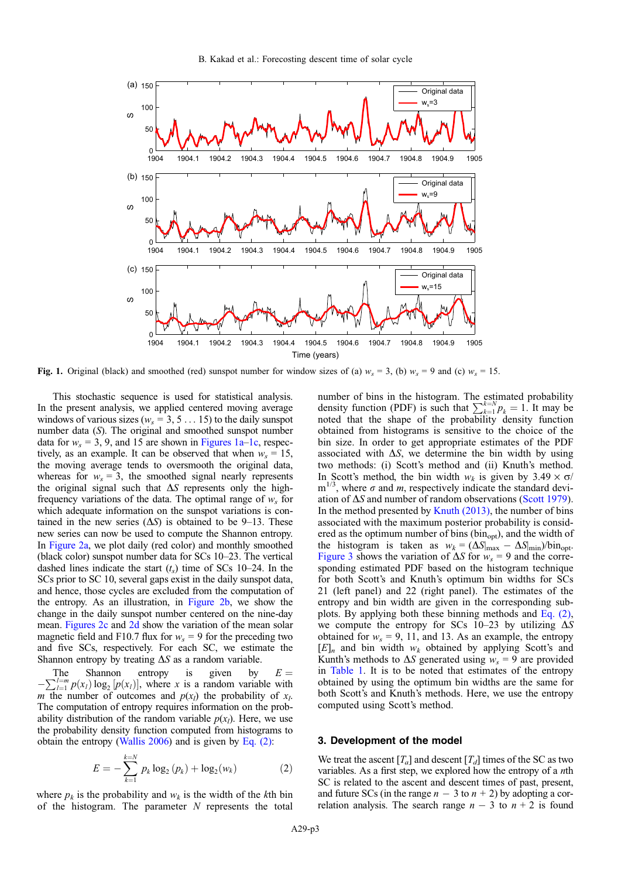<span id="page-2-0"></span>

Fig. 1. Original (black) and smoothed (red) sunspot number for window sizes of (a)  $w_s = 3$ , (b)  $w_s = 9$  and (c)  $w_s = 15$ .

This stochastic sequence is used for statistical analysis. In the present analysis, we applied centered moving average windows of various sizes ( $w_s = 3, 5... 15$ ) to the daily sunspot number data (S). The original and smoothed sunspot number data for  $w_s = 3$ , 9, and 15 are shown in Figures 1a–1c, respectively, as an example. It can be observed that when  $w_s = 15$ , the moving average tends to oversmooth the original data, whereas for  $w_s = 3$ , the smoothed signal nearly represents the original signal such that  $\Delta S$  represents only the highfrequency variations of the data. The optimal range of  $w_s$  for which adequate information on the sunspot variations is contained in the new series  $(\Delta S)$  is obtained to be 9–13. These new series can now be used to compute the Shannon entropy. In [Figure 2a,](#page-3-0) we plot daily (red color) and monthly smoothed (black color) sunspot number data for SCs 10–23. The vertical dashed lines indicate the start  $(t<sub>s</sub>)$  time of SCs 10–24. In the SCs prior to SC 10, several gaps exist in the daily sunspot data, and hence, those cycles are excluded from the computation of the entropy. As an illustration, in [Figure 2b](#page-3-0), we show the change in the daily sunspot number centered on the nine-day mean. [Figures 2c](#page-3-0) and [2d](#page-3-0) show the variation of the mean solar magnetic field and F10.7 flux for  $w_s = 9$  for the preceding two and five SCs, respectively. For each SC, we estimate the Shannon entropy by treating  $\Delta S$  as a random variable.

The Shannon entropy is given by  $E = \sum_{l=1}^{l=m} p(x_l) \log_2 [p(x_l)]$ , where x is a random variable with m the number of outcomes and  $p(x_i)$  the probability of  $x_i$ . The computation of entropy requires information on the probability distribution of the random variable  $p(x_l)$ . Here, we use the probability density function computed from histograms to obtain the entropy [\(Wallis 2006\)](#page-7-0) and is given by Eq.  $(2)$ :

$$
E = -\sum_{k=1}^{k=N} p_k \log_2 (p_k) + \log_2 (w_k)
$$
 (2)

where  $p_k$  is the probability and  $w_k$  is the width of the kth bin of the histogram. The parameter  $N$  represents the total

number of bins in the histogram. The estimated probability density function (PDF) is such that  $\sum_{k=1}^{k=N} p_k = 1$ . It may be noted that the shape of the probability density function obtained from histograms is sensitive to the choice of the bin size. In order to get appropriate estimates of the PDF associated with  $\Delta S$ , we determine the bin width by using two methods: (i) Scott's method and (ii) Knuth's method. In Scott's method, the bin width  $w_k$  is given by 3.49  $\times \sigma$ /  $m^{1/3}$ , where  $\sigma$  and m, respectively indicate the standard deviation of  $\Delta S$  and number of random observations [\(Scott 1979](#page-7-0)). In the method presented by Knuth  $(2013)$ , the number of bins associated with the maximum posterior probability is considered as the optimum number of bins ( $bin_{opt}$ ), and the width of the histogram is taken as  $w_k = (\Delta S|_{\text{max}} - \Delta S|_{\text{min}})/\text{bin}_{\text{opt}}$ . [Figure 3](#page-3-0) shows the variation of  $\Delta S$  for  $w_s = 9$  and the corresponding estimated PDF based on the histogram technique for both Scott's and Knuth's optimum bin widths for SCs 21 (left panel) and 22 (right panel). The estimates of the entropy and bin width are given in the corresponding subplots. By applying both these binning methods and Eq. (2), we compute the entropy for SCs 10–23 by utilizing  $\Delta S$ obtained for  $w_s = 9$ , 11, and 13. As an example, the entropy  $[E]_n$  and bin width  $w_k$  obtained by applying Scott's and Kunth's methods to  $\Delta S$  generated using  $w_s = 9$  are provided in [Table 1](#page-1-0). It is to be noted that estimates of the entropy obtained by using the optimum bin widths are the same for both Scott's and Knuth's methods. Here, we use the entropy computed using Scott's method.

#### 3. Development of the model

We treat the ascent  $[T_a]$  and descent  $[T_d]$  times of the SC as two variables. As a first step, we explored how the entropy of a nth SC is related to the ascent and descent times of past, present, and future SCs (in the range  $n - 3$  to  $n + 2$ ) by adopting a correlation analysis. The search range  $n-3$  to  $n+2$  is found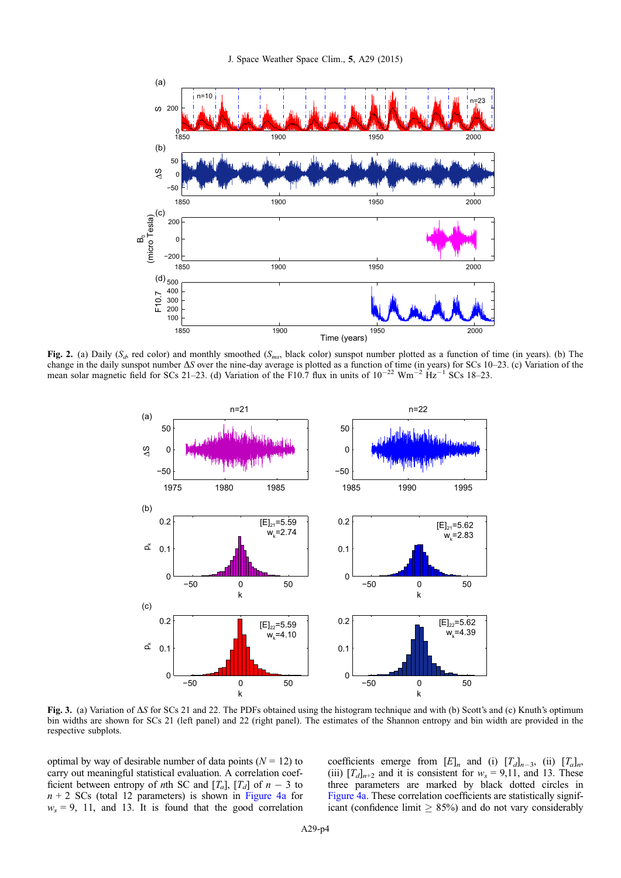<span id="page-3-0"></span>

Fig. 2. (a) Daily ( $S_{ab}$  red color) and monthly smoothed ( $S_{ms}$ , black color) sunspot number plotted as a function of time (in years). (b) The change in the daily sunspot number  $\Delta S$  over the nine-day average is plotted as a function of time (in years) for SCs 10–23. (c) Variation of the mean solar magnetic field for SCs 21–23. (d) Variation of the F10.7 flux in units of  $10^{-22}$  Wm<sup>-2</sup> Hz<sup>-1</sup> SCs 18–23.



Fig. 3. (a) Variation of  $\Delta S$  for SCs 21 and 22. The PDFs obtained using the histogram technique and with (b) Scott's and (c) Knuth's optimum bin widths are shown for SCs 21 (left panel) and 22 (right panel). The estimates of the Shannon entropy and bin width are provided in the respective subplots.

optimal by way of desirable number of data points  $(N = 12)$  to carry out meaningful statistical evaluation. A correlation coefficient between entropy of *n*th SC and  $[T_a]$ ,  $[T_d]$  of  $n-3$  to  $n + 2$  SCs (total 12 parameters) is shown in [Figure 4a](#page-4-0) for  $w_s = 9$ , 11, and 13. It is found that the good correlation

coefficients emerge from  $[E]_n$  and (i)  $[T_d]_{n-3}$ , (ii)  $[T_a]_n$ , (iii)  $[T_d]_{n+2}$  and it is consistent for  $w_s = 9,11$ , and 13. These three parameters are marked by black dotted circles in [Figure 4a](#page-4-0). These correlation coefficients are statistically significant (confidence limit  $\geq$  85%) and do not vary considerably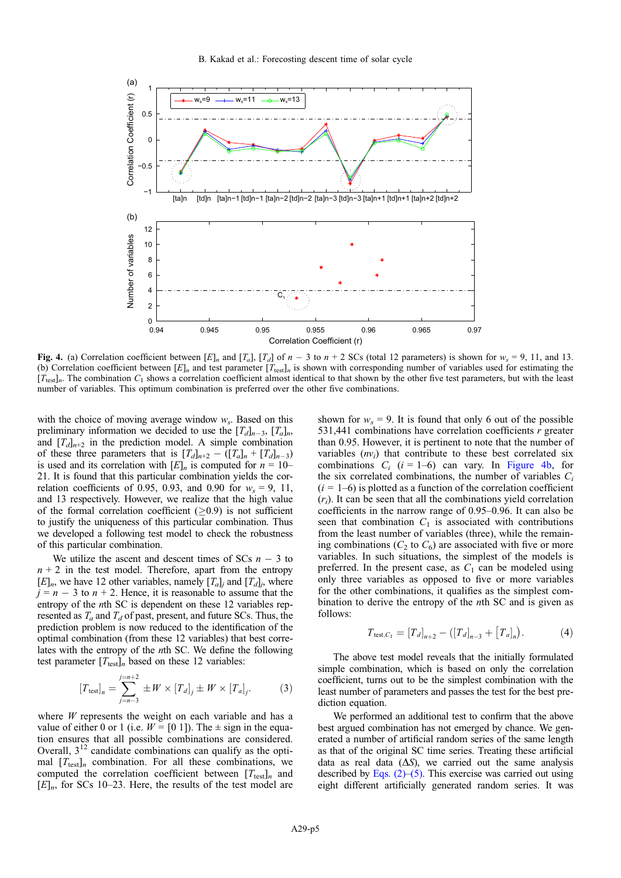<span id="page-4-0"></span>

Fig. 4. (a) Correlation coefficient between [E]<sub>n</sub> and [T<sub>a</sub>], [T<sub>a</sub>] of  $n-3$  to  $n+2$  SCs (total 12 parameters) is shown for  $w_s = 9$ , 11, and 13. (b) Correlation coefficient between  $[E]_n$  and test parameter  $[T_{\text{test}}]_n$  is shown with corresponding number of variables used for estimating the  $[T_{test}]_n$ . The combination  $C_1$  shows a correlation coefficient almost identical to that shown by the other five test parameters, but with the least number of variables. This optimum combination is preferred over the other five combinations.

with the choice of moving average window  $w_s$ . Based on this preliminary information we decided to use the  $[T_d]_{n-3}$ ,  $[T_a]_n$ , and  $[T_d]_{n+2}$  in the prediction model. A simple combination of these three parameters that is  $[T_d]_{n+2} - (\overline{T}_d]_n + [T_d]_{n-3}$ is used and its correlation with  $[E]_n$  is computed for  $n = 10-$ 21. It is found that this particular combination yields the correlation coefficients of 0.95, 0.93, and 0.90 for  $w_s = 9$ , 11, and 13 respectively. However, we realize that the high value of the formal correlation coefficient  $(0.9)$  is not sufficient to justify the uniqueness of this particular combination. Thus we developed a following test model to check the robustness of this particular combination.

We utilize the ascent and descent times of SCs  $n - 3$  to  $n + 2$  in the test model. Therefore, apart from the entropy  $[E]_n$ , we have 12 other variables, namely  $[T_a]_i$  and  $[T_d]_i$ , where  $j = n - 3$  to  $n + 2$ . Hence, it is reasonable to assume that the entropy of the *n*th SC is dependent on these 12 variables represented as  $T_a$  and  $T_d$  of past, present, and future SCs. Thus, the prediction problem is now reduced to the identification of the optimal combination (from these 12 variables) that best correlates with the entropy of the nth SC. We define the following test parameter  $[T_{\text{test}}]_n$  based on these 12 variables:

$$
[T_{\text{test}}]_n = \sum_{j=n-3}^{j=n+2} \pm W \times [T_d]_j \pm W \times [T_a]_j.
$$
 (3)

where  $W$  represents the weight on each variable and has a value of either 0 or 1 (i.e.  $W = [0 1]$ ). The  $\pm$  sign in the equation ensures that all possible combinations are considered. Overall,  $3^{12}$  candidate combinations can qualify as the optimal  $[T_{test}]_n$  combination. For all these combinations, we computed the correlation coefficient between  $[T_{\text{test}}]_n$  and  $[E]_n$ , for SCs 10–23. Here, the results of the test model are

shown for  $w_s = 9$ . It is found that only 6 out of the possible 531,441 combinations have correlation coefficients  $r$  greater than 0.95. However, it is pertinent to note that the number of variables  $(nv_i)$  that contribute to these best correlated six combinations  $C_i$  ( $i = 1-6$ ) can vary. In Figure 4b, for the six correlated combinations, the number of variables  $C_i$  $(i = 1-6)$  is plotted as a function of the correlation coefficient  $(r<sub>i</sub>)$ . It can be seen that all the combinations yield correlation coefficients in the narrow range of 0.95–0.96. It can also be seen that combination  $C_1$  is associated with contributions from the least number of variables (three), while the remaining combinations ( $C_2$  to  $C_6$ ) are associated with five or more variables. In such situations, the simplest of the models is preferred. In the present case, as  $C_1$  can be modeled using only three variables as opposed to five or more variables for the other combinations, it qualifies as the simplest combination to derive the entropy of the nth SC and is given as follows:

$$
T_{\text{test},C_1} = [T_d]_{n+2} - ([T_d]_{n-3} + [T_a]_n). \tag{4}
$$

The above test model reveals that the initially formulated simple combination, which is based on only the correlation coefficient, turns out to be the simplest combination with the least number of parameters and passes the test for the best prediction equation.

We performed an additional test to confirm that the above best argued combination has not emerged by chance. We generated a number of artificial random series of the same length as that of the original SC time series. Treating these artificial data as real data  $(\Delta S)$ , we carried out the same analysis described by Eqs.  $(2)$ – $(5)$ . This exercise was carried out using eight different artificially generated random series. It was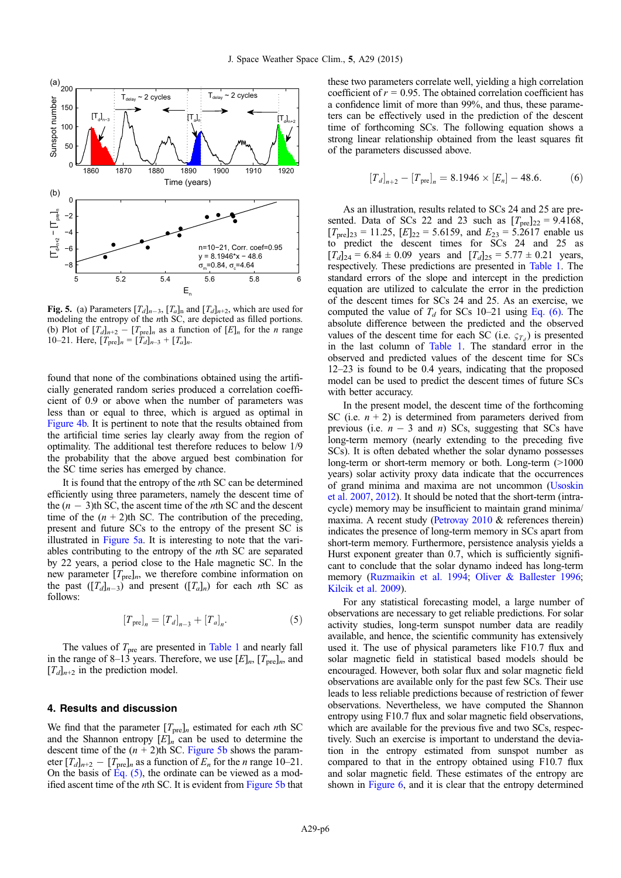<span id="page-5-0"></span>

**Fig. 5.** (a) Parameters  $[T_d]_{n-3}$ ,  $[T_a]_n$  and  $[T_d]_{n+2}$ , which are used for modeling the entropy of the *n*th SC, are depicted as filled portions. (b) Plot of  $[T_d]_{n+2} - [T_{pre}]_n$  as a function of  $[E]_n$  for the *n* range 10–21. Here,  $[T_{pre}]_n = [T_d]_{n-3} + [T_a]_n$ .

found that none of the combinations obtained using the artificially generated random series produced a correlation coefficient of 0.9 or above when the number of parameters was less than or equal to three, which is argued as optimal in [Figure 4b.](#page-4-0) It is pertinent to note that the results obtained from the artificial time series lay clearly away from the region of optimality. The additional test therefore reduces to below 1/9 the probability that the above argued best combination for the SC time series has emerged by chance.

It is found that the entropy of the nth SC can be determined efficiently using three parameters, namely the descent time of the  $(n - 3)$ th SC, the ascent time of the *n*th SC and the descent time of the  $(n + 2)$ th SC. The contribution of the preceding, present and future SCs to the entropy of the present SC is illustrated in Figure 5a. It is interesting to note that the variables contributing to the entropy of the nth SC are separated by 22 years, a period close to the Hale magnetic SC. In the new parameter  $[T_{pre}]_n$ , we therefore combine information on the past  $([T_d]_{n-3})$  and present  $([T_a]_n)$  for each *n*th SC as follows:

$$
[T_{\text{pre}}]_n = [T_d]_{n-3} + [T_a]_n. \tag{5}
$$

The values of  $T_{\text{pre}}$  are presented in [Table 1](#page-1-0) and nearly fall in the range of 8–13 years. Therefore, we use  $[E]_n$ ,  $[T_{pre}]_n$ , and  $[T_d]_{n+2}$  in the prediction model.

# 4. Results and discussion

We find that the parameter  $[T_{pre}]_n$  estimated for each *n*th SC and the Shannon entropy  $[E]_n$  can be used to determine the descent time of the  $(n + 2)$ th SC. Figure 5b shows the parameter  $[T_d]_{n+2} - [T_{pre}]_n$  as a function of  $E_n$  for the *n* range 10–21. On the basis of  $\text{Eq.} (5)$ , the ordinate can be viewed as a modified ascent time of the nth SC. It is evident from Figure 5b that

these two parameters correlate well, yielding a high correlation coefficient of  $r = 0.95$ . The obtained correlation coefficient has a confidence limit of more than 99%, and thus, these parameters can be effectively used in the prediction of the descent time of forthcoming SCs. The following equation shows a strong linear relationship obtained from the least squares fit of the parameters discussed above.

$$
[T_d]_{n+2} - [T_{pre}]_n = 8.1946 \times [E_n] - 48.6. \tag{6}
$$

As an illustration, results related to SCs 24 and 25 are presented. Data of SCs 22 and 23 such as  $[T_{pre}]_{22} = 9.4168$ ,  $[T_{pre}]_{23} = 11.25$ ,  $[E]_{22} = 5.6159$ , and  $E_{23} = 5.2617$  enable us to predict the descent times for SCs 24 and 25 as  $[T_d]_{24} = 6.84 \pm 0.09$  years and  $[T_d]_{25} = 5.77 \pm 0.21$  years, respectively. These predictions are presented in [Table 1.](#page-1-0) The standard errors of the slope and intercept in the prediction equation are utilized to calculate the error in the prediction of the descent times for SCs 24 and 25. As an exercise, we computed the value of  $T_d$  for SCs 10–21 using Eq. (6). The absolute difference between the predicted and the observed values of the descent time for each SC (i.e.  $\varsigma_{T_d}$ ) is presented in the last column of [Table 1](#page-1-0). The standard error in the observed and predicted values of the descent time for SCs 12–23 is found to be 0.4 years, indicating that the proposed model can be used to predict the descent times of future SCs with better accuracy.

In the present model, the descent time of the forthcoming SC (i.e.  $n + 2$ ) is determined from parameters derived from previous (i.e.  $n - 3$  and n) SCs, suggesting that SCs have long-term memory (nearly extending to the preceding five SCs). It is often debated whether the solar dynamo possesses long-term or short-term memory or both. Long-term (>1000) years) solar activity proxy data indicate that the occurrences of grand minima and maxima are not uncommon ([Usoskin](#page-7-0) [et al. 2007](#page-7-0), [2012\)](#page-7-0). It should be noted that the short-term (intracycle) memory may be insufficient to maintain grand minima/ maxima. A recent study [\(Petrovay 2010](#page-7-0) & references therein) indicates the presence of long-term memory in SCs apart from short-term memory. Furthermore, persistence analysis yields a Hurst exponent greater than 0.7, which is sufficiently significant to conclude that the solar dynamo indeed has long-term memory [\(Ruzmaikin et al. 1994](#page-7-0); [Oliver & Ballester 1996;](#page-7-0) [Kilcik et al. 2009](#page-7-0)).

For any statistical forecasting model, a large number of observations are necessary to get reliable predictions. For solar activity studies, long-term sunspot number data are readily available, and hence, the scientific community has extensively used it. The use of physical parameters like F10.7 flux and solar magnetic field in statistical based models should be encouraged. However, both solar flux and solar magnetic field observations are available only for the past few SCs. Their use leads to less reliable predictions because of restriction of fewer observations. Nevertheless, we have computed the Shannon entropy using F10.7 flux and solar magnetic field observations, which are available for the previous five and two SCs, respectively. Such an exercise is important to understand the deviation in the entropy estimated from sunspot number as compared to that in the entropy obtained using F10.7 flux and solar magnetic field. These estimates of the entropy are shown in [Figure 6,](#page-6-0) and it is clear that the entropy determined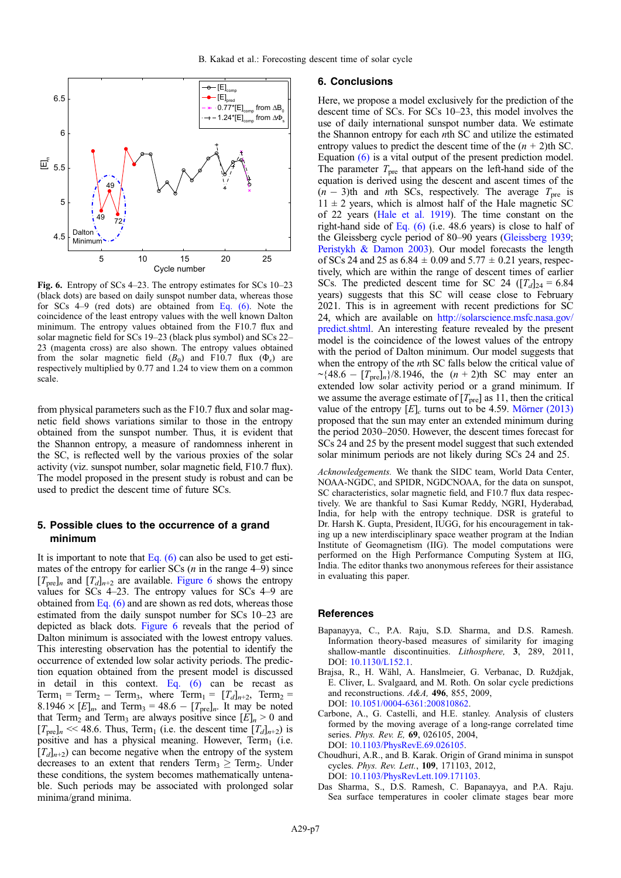<span id="page-6-0"></span>

Fig. 6. Entropy of SCs 4–23. The entropy estimates for SCs 10–23 (black dots) are based on daily sunspot number data, whereas those for SCs 4–9 (red dots) are obtained from [Eq. \(6\)](#page-5-0). Note the coincidence of the least entropy values with the well known Dalton minimum. The entropy values obtained from the F10.7 flux and solar magnetic field for SCs 19–23 (black plus symbol) and SCs 22– 23 (magenta cross) are also shown. The entropy values obtained from the solar magnetic field  $(B_0)$  and F10.7 flux  $(\Phi_s)$  are respectively multiplied by 0.77 and 1.24 to view them on a common scale.

from physical parameters such as the F10.7 flux and solar magnetic field shows variations similar to those in the entropy obtained from the sunspot number. Thus, it is evident that the Shannon entropy, a measure of randomness inherent in the SC, is reflected well by the various proxies of the solar activity (viz. sunspot number, solar magnetic field, F10.7 flux). The model proposed in the present study is robust and can be used to predict the descent time of future SCs.

# 5. Possible clues to the occurrence of a grand minimum

It is important to note that Eq.  $(6)$  can also be used to get estimates of the entropy for earlier  $SCs$  (*n* in the range 4–9) since  $[T_{pre}]_n$  and  $[T_d]_{n+2}$  are available. Figure 6 shows the entropy values for SCs 4–23. The entropy values for SCs 4–9 are obtained from Eq.  $(6)$  and are shown as red dots, whereas those estimated from the daily sunspot number for SCs 10–23 are depicted as black dots. Figure 6 reveals that the period of Dalton minimum is associated with the lowest entropy values. This interesting observation has the potential to identify the occurrence of extended low solar activity periods. The prediction equation obtained from the present model is discussed in detail in this context. Eq.  $(6)$  can be recast as Term<sub>1</sub> = Term<sub>2</sub> - Term<sub>3</sub>, where Term<sub>1</sub> =  $[T_d]_{n+2}$ , Term<sub>2</sub> = 8.1946  $\times$  [E]<sub>n</sub>, and Term<sub>3</sub> = 48.6 – [T<sub>pre</sub>]<sub>n</sub>. It may be noted that Term<sub>2</sub> and Term<sub>3</sub> are always positive since  $[E]_n > 0$  and  $[T_{pre}]_n \ll 48.6$ . Thus, Term<sub>1</sub> (i.e. the descent time  $[T_d]_{n+2}$ ) is positive and has a physical meaning. However,  $Term_1$  (i.e.  $[T_d]_{n+2}$  can become negative when the entropy of the system decreases to an extent that renders  $Term_3 > Term_2$ . Under these conditions, the system becomes mathematically untenable. Such periods may be associated with prolonged solar minima/grand minima.

#### 6. Conclusions

Here, we propose a model exclusively for the prediction of the descent time of SCs. For SCs 10–23, this model involves the use of daily international sunspot number data. We estimate the Shannon entropy for each nth SC and utilize the estimated entropy values to predict the descent time of the  $(n + 2)$ th SC. Equation [\(6\)](#page-5-0) is a vital output of the present prediction model. The parameter  $T_{\text{pre}}$  that appears on the left-hand side of the equation is derived using the descent and ascent times of the  $(n - 3)$ th and *n*th SCs, respectively. The average  $T_{pre}$  is  $11 \pm 2$  years, which is almost half of the Hale magnetic SC of 22 years ([Hale et al. 1919\)](#page-7-0). The time constant on the right-hand side of [Eq. \(6\)](#page-5-0) (i.e. 48.6 years) is close to half of the Gleissberg cycle period of 80–90 years [\(Gleissberg 1939](#page-7-0); [Peristykh & Damon 2003\)](#page-7-0). Our model forecasts the length of SCs 24 and 25 as  $6.84 \pm 0.09$  and  $5.77 \pm 0.21$  years, respectively, which are within the range of descent times of earlier SCs. The predicted descent time for SC 24 ( $[T_d]_{24} = 6.84$ years) suggests that this SC will cease close to February 2021. This is in agreement with recent predictions for SC 24, which are available on [http://solarscience.msfc.nasa.gov/](http://solarscience.msfc.nasa.gov/predict.shtml) [predict.shtml.](http://solarscience.msfc.nasa.gov/predict.shtml) An interesting feature revealed by the present model is the coincidence of the lowest values of the entropy with the period of Dalton minimum. Our model suggests that when the entropy of the *n*th SC falls below the critical value of  $\sim$ {48.6 – [T<sub>pre</sub>]<sub>n</sub>}/8.1946, the  $(n + 2)$ th SC may enter an extended low solar activity period or a grand minimum. If we assume the average estimate of  $[T_{pre}]$  as 11, then the critical value of the entropy  $[E]_c$  turns out to be 4.59. [Mörner \(2013\)](#page-7-0) proposed that the sun may enter an extended minimum during the period 2030–2050. However, the descent times forecast for SCs 24 and 25 by the present model suggest that such extended solar minimum periods are not likely during SCs 24 and 25.

Acknowledgements. We thank the SIDC team, World Data Center, NOAA-NGDC, and SPIDR, NGDCNOAA, for the data on sunspot, SC characteristics, solar magnetic field, and F10.7 flux data respectively. We are thankful to Sasi Kumar Reddy, NGRI, Hyderabad, India, for help with the entropy technique. DSR is grateful to Dr. Harsh K. Gupta, President, IUGG, for his encouragement in taking up a new interdisciplinary space weather program at the Indian Institute of Geomagnetism (IIG). The model computations were performed on the High Performance Computing System at IIG, India. The editor thanks two anonymous referees for their assistance in evaluating this paper.

#### **References**

- Bapanayya, C., P.A. Raju, S.D. Sharma, and D.S. Ramesh. Information theory-based measures of similarity for imaging shallow-mantle discontinuities. Lithosphere, 3, 289, 2011, DOI: [10.1130/L152.1](http://dx.doi.org/10.1130/L152.1).
- Brajsa, R., H. Wähl, A. Hanslmeier, G. Verbanac, D. Ruždjak, E. Cliver, L. Svalgaard, and M. Roth. On solar cycle predictions and reconstructions. A&A, 496, 855, 2009, DOI: [10.1051/0004-6361:200810862](http://dx.doi.org/10.1051/0004-6361:200810862).
- Carbone, A., G. Castelli, and H.E. stanley. Analysis of clusters formed by the moving average of a long-range correlated time series. Phys. Rev. E, 69, 026105, 2004, DOI: [10.1103/PhysRevE.69.026105.](http://dx.doi.org/10.1103/PhysRevE.69.026105)
- Choudhuri, A.R., and B. Karak. Origin of Grand minima in sunspot cycles. Phys. Rev. Lett., 109, 171103, 2012, DOI: [10.1103/PhysRevLett.109.171103.](http://dx.doi.org/10.1103/PhysRevLett.109.171103)
- Das Sharma, S., D.S. Ramesh, C. Bapanayya, and P.A. Raju. Sea surface temperatures in cooler climate stages bear more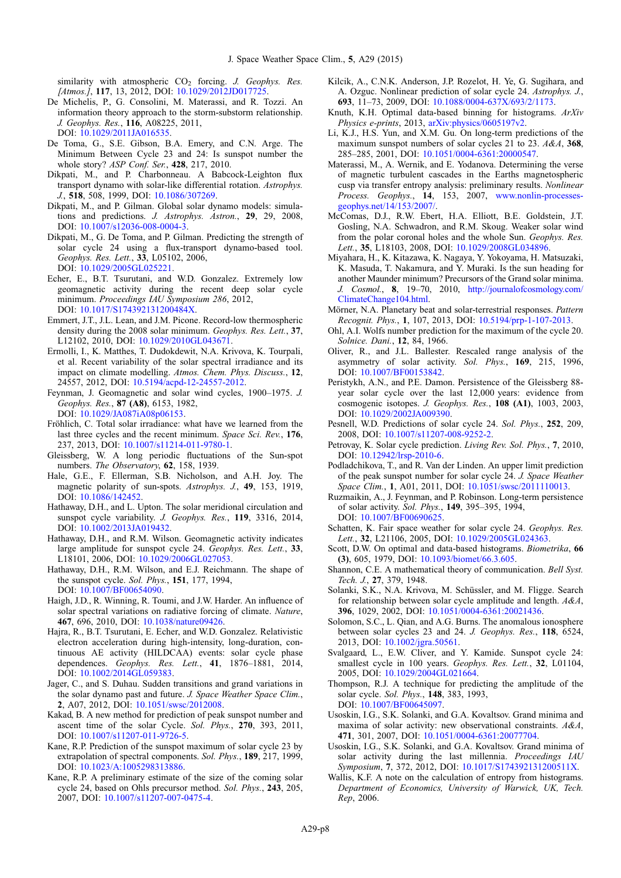<span id="page-7-0"></span>similarity with atmospheric  $CO<sub>2</sub>$  forcing. J. Geophys. Res. [Atmos.], 117, 13, 2012, DOI: 10.1029/2012JD017725

- De Michelis, P., G. Consolini, M. Materassi, and R. Tozzi. An information theory approach to the storm-substorm relationship. J. Geophys. Res., 116, A08225, 2011, DOI: [10.1029/2011JA016535.](http://dx.doi.org/10.1029/2011JA016535)
- De Toma, G., S.E. Gibson, B.A. Emery, and C.N. Arge. The Minimum Between Cycle 23 and 24: Is sunspot number the whole story? ASP Conf. Ser., 428, 217, 2010.
- Dikpati, M., and P. Charbonneau. A Babcock-Leighton flux transport dynamo with solar-like differential rotation. Astrophys. J., 518, 508, 1999, DOI: [10.1086/307269](http://dx.doi.org/10.1086/307269).
- Dikpati, M., and P. Gilman. Global solar dynamo models: simulations and predictions. J. Astrophys. Astron., 29, 29, 2008, DOI: [10.1007/s12036-008-0004-3.](http://dx.doi.org/10.1007/s12036-008-0004-3)
- Dikpati, M., G. De Toma, and P. Gilman. Predicting the strength of solar cycle 24 using a flux-transport dynamo-based tool. Geophys. Res. Lett., 33, L05102, 2006, DOI: [10.1029/2005GL025221.](http://dx.doi.org/10.1029/2005GL025221)
- Echer, E., B.T. Tsurutani, and W.D. Gonzalez. Extremely low geomagnetic activity during the recent deep solar cycle minimum. Proceedings IAU Symposium 286, 2012, DOI: [10.1017/S174392131200484X.](http://dx.doi.org/10.1017/S174392131200484X)
- Emmert, J.T., J.L. Lean, and J.M. Picone. Record-low thermospheric density during the 2008 solar minimum. Geophys. Res. Lett., 37, L12102, 2010, DOI: [10.1029/2010GL043671](http://dx.doi.org/10.1029/2010GL043671).
- Ermolli, I., K. Matthes, T. Dudokdewit, N.A. Krivova, K. Tourpali, et al. Recent variability of the solar spectral irradiance and its impact on climate modelling. Atmos. Chem. Phys. Discuss., 12, 24557, 2012, DOI: [10.5194/acpd-12-24557-2012](http://dx.doi.org/10.5194/acpd-12-24557-2012).
- Feynman, J. Geomagnetic and solar wind cycles, 1900–1975. J. Geophys. Res., 87 (A8), 6153, 1982, DOI: [10.1029/JA087iA08p06153.](http://dx.doi.org/10.1029/JA087iA08p06153)
- Fröhlich, C. Total solar irradiance: what have we learned from the last three cycles and the recent minimum. Space Sci. Rev., 176, 237, 2013, DOI: [10.1007/s11214-011-9780-1.](http://dx.doi.org/10.1007/s11214-011-9780-1)
- Gleissberg, W. A long periodic fluctuations of the Sun-spot numbers. The Observatory, 62, 158, 1939.
- Hale, G.E., F. Ellerman, S.B. Nicholson, and A.H. Joy. The magnetic polarity of sun-spots. Astrophys. J., 49, 153, 1919, DOI: [10.1086/142452](http://dx.doi.org/10.1086/142452).
- Hathaway, D.H., and L. Upton. The solar meridional circulation and sunspot cycle variability. J. Geophys. Res., 119, 3316, 2014, DOI: [10.1002/2013JA019432.](http://dx.doi.org/10.1002/2013JA019432)
- Hathaway, D.H., and R.M. Wilson. Geomagnetic activity indicates large amplitude for sunspot cycle 24. Geophys. Res. Lett., 33, L18101, 2006, DOI: [10.1029/2006GL027053](http://dx.doi.org/10.1029/2006GL027053).
- Hathaway, D.H., R.M. Wilson, and E.J. Reichmann. The shape of the sunspot cycle. Sol. Phys., 151, 177, 1994, DOI: [10.1007/BF00654090.](http://dx.doi.org/10.1007/BF00654090)
- Haigh, J.D., R. Winning, R. Toumi, and J.W. Harder. An influence of solar spectral variations on radiative forcing of climate. Nature, 467, 696, 2010, DOI: [10.1038/nature09426.](http://dx.doi.org/10.1038/nature09426)
- Hajra, R., B.T. Tsurutani, E. Echer, and W.D. Gonzalez. Relativistic electron acceleration during high-intensity, long-duration, continuous AE activity (HILDCAA) events: solar cycle phase dependences. Geophys. Res. Lett., 41, 1876–1881, 2014, DOI: [10.1002/2014GL059383.](http://dx.doi.org/10.1002/2014GL059383)
- Jager, C., and S. Duhau. Sudden transitions and grand variations in the solar dynamo past and future. J. Space Weather Space Clim., 2, A07, 2012, DOI: [10.1051/swsc/2012008.](http://dx.doi.org/10.1051/swsc/2012008)
- Kakad, B. A new method for prediction of peak sunspot number and ascent time of the solar Cycle. Sol. Phys., 270, 393, 2011, DOI: [10.1007/s11207-011-9726-5.](http://dx.doi.org/10.1007/s11207-011-9726-5)
- Kane, R.P. Prediction of the sunspot maximum of solar cycle 23 by extrapolation of spectral components. Sol. Phys., 189, 217, 1999, DOI: [10.1023/A:1005298313886](http://dx.doi.org/10.1023/A:1005298313886).
- Kane, R.P. A preliminary estimate of the size of the coming solar cycle 24, based on Ohls precursor method. Sol. Phys., 243, 205, 2007, DOI: [10.1007/s11207-007-0475-4](http://dx.doi.org/10.1007/s11207-007-0475-4).
- Kilcik, A., C.N.K. Anderson, J.P. Rozelot, H. Ye, G. Sugihara, and A. Ozguc. Nonlinear prediction of solar cycle 24. Astrophys. J., 693, 11–73, 2009, DOI: [10.1088/0004-637X/693/2/1173.](http://dx.doi.org/10.1088/0004-637X/693/2/1173)
- Knuth, K.H. Optimal data-based binning for histograms. ArXiv Physics e-prints, 2013, <arXiv:physics/0605197v2>.
- Li, K.J., H.S. Yun, and X.M. Gu. On long-term predictions of the maximum sunspot numbers of solar cycles 21 to 23. A&A, 368, 285–285, 2001, DOI: [10.1051/0004-6361:20000547](http://dx.doi.org/10.1051/0004-6361:20000547).
- Materassi, M., A. Wernik, and E. Yodanova. Determining the verse of magnetic turbulent cascades in the Earths magnetospheric cusp via transfer entropy analysis: preliminary results. Nonlinear Process. Geophys., 14, 153, 2007, [www.nonlin-processes](http://www.nonlin-processes-geophys.net/14/153/2007/)[geophys.net/14/153/2007/](http://www.nonlin-processes-geophys.net/14/153/2007/).
- McComas, D.J., R.W. Ebert, H.A. Elliott, B.E. Goldstein, J.T. Gosling, N.A. Schwadron, and R.M. Skoug. Weaker solar wind from the polar coronal holes and the whole Sun. Geophys. Res. Lett., 35, L18103, 2008, DOI: [10.1029/2008GL034896.](http://dx.doi.org/10.1029/2008GL034896)
- Miyahara, H., K. Kitazawa, K. Nagaya, Y. Yokoyama, H. Matsuzaki, K. Masuda, T. Nakamura, and Y. Muraki. Is the sun heading for another Maunder minimum? Precursors of the Grand solar minima. J. Cosmol., 8, 19–70, 2010, [http://journalofcosmology.com/](http://journalofcosmology.com/ClimateChange104.html) [ClimateChange104.html.](http://journalofcosmology.com/ClimateChange104.html)
- Mörner, N.A. Planetary beat and solar-terrestrial responses. Pattern Recognit. Phys., 1, 107, 2013, DOI: [10.5194/prp-1-107-2013.](http://dx.doi.org/10.5194/prp-1-107-2013)
- Ohl, A.I. Wolfs number prediction for the maximum of the cycle 20. Solnice. Dani., 12, 84, 1966.
- Oliver, R., and J.L. Ballester. Rescaled range analysis of the asymmetry of solar activity. Sol. Phys., 169, 215, 1996, DOI: [10.1007/BF00153842.](http://dx.doi.org/10.1007/BF00153842)
- Peristykh, A.N., and P.E. Damon. Persistence of the Gleissberg 88 year solar cycle over the last 12,000 years: evidence from cosmogenic isotopes. J. Geophys. Res., 108 (A1), 1003, 2003, DOI: [10.1029/2002JA009390](http://dx.doi.org/10.1029/2002JA009390).
- Pesnell, W.D. Predictions of solar cycle 24. Sol. Phys., 252, 209, 2008, DOI: [10.1007/s11207-008-9252-2.](http://dx.doi.org/10.1007/s11207-008-9252-2)
- Petrovay, K. Solar cycle prediction. Living Rev. Sol. Phys., 7, 2010, DOI: [10.12942/lrsp-2010-6](http://dx.doi.org/10.12942/lrsp-2010-6).
- Podladchikova, T., and R. Van der Linden. An upper limit prediction of the peak sunspot number for solar cycle 24. J. Space Weather Space Clim., 1, A01, 2011, DOI: [10.1051/swsc/2011110013.](http://dx.doi.org/10.1051/swsc/2011110013)
- Ruzmaikin, A., J. Feynman, and P. Robinson. Long-term persistence of solar activity. Sol. Phys., 149, 395–395, 1994, DOI: [10.1007/BF00690625.](http://dx.doi.org/10.1007/BF00690625)
- Schatten, K. Fair space weather for solar cycle 24. Geophys. Res. Lett., 32, L21106, 2005, DOI: [10.1029/2005GL024363.](http://dx.doi.org/10.1029/2005GL024363)
- Scott, D.W. On optimal and data-based histograms. Biometrika, 66 (3), 605, 1979, DOI: [10.1093/biomet/66.3.605.](http://dx.doi.org/10.1093/biomet/66.3.605)
- Shannon, C.E. A mathematical theory of communication. Bell Syst. Tech. J., 27, 379, 1948.
- Solanki, S.K., N.A. Krivova, M. Schüssler, and M. Fligge. Search for relationship between solar cycle amplitude and length.  $A\&A$ , 396, 1029, 2002, DOI: [10.1051/0004-6361:20021436](http://dx.doi.org/10.1051/0004-6361:20021436).
- Solomon, S.C., L. Qian, and A.G. Burns. The anomalous ionosphere between solar cycles 23 and 24. J. Geophys. Res., 118, 6524, 2013, DOI: [10.1002/jgra.50561](http://dx.doi.org/10.1002/jgra.50561).
- Svalgaard, L., E.W. Cliver, and Y. Kamide. Sunspot cycle 24: smallest cycle in 100 years. Geophys. Res. Lett., 32, L01104, 2005, DOI: [10.1029/2004GL021664](http://dx.doi.org/10.1029/2004GL021664).
- Thompson, R.J. A technique for predicting the amplitude of the solar cycle. Sol. Phys., 148, 383, 1993, DOI: [10.1007/BF00645097.](http://dx.doi.org/10.1007/BF00645097)
- Usoskin, I.G., S.K. Solanki, and G.A. Kovaltsov. Grand minima and maxima of solar activity: new observational constraints. A&A, 471, 301, 2007, DOI: [10.1051/0004-6361:20077704.](http://dx.doi.org/10.1051/0004-6361:20077704)
- Usoskin, I.G., S.K. Solanki, and G.A. Kovaltsov. Grand minima of solar activity during the last millennia. Proceedings IAU Symposium, 7, 372, 2012, DOI: [10.1017/S174392131200511X](http://dx.doi.org/10.1017/S174392131200511X).
- Wallis, K.F. A note on the calculation of entropy from histograms. Department of Economics, University of Warwick, UK, Tech. Rep, 2006.